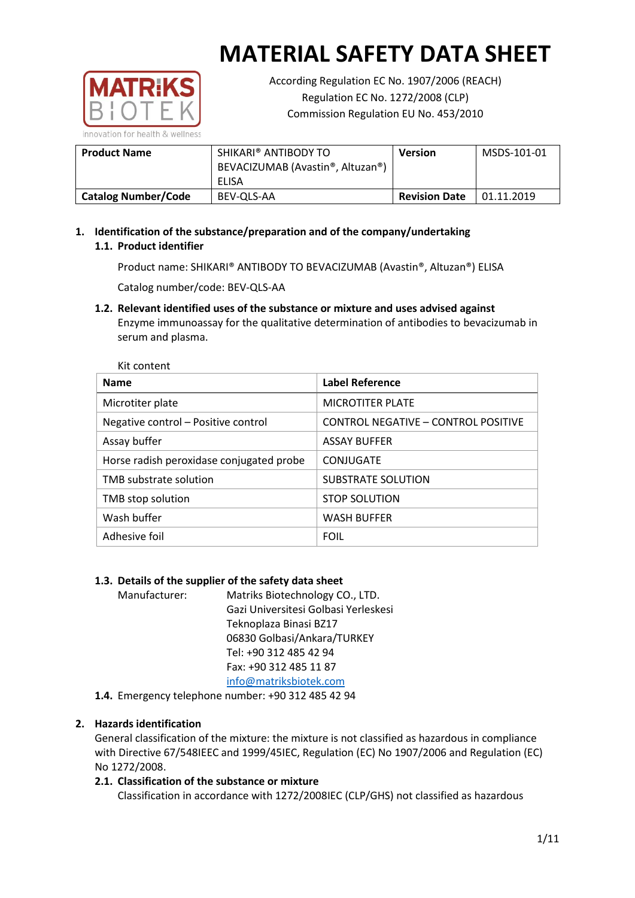

According Regulation EC No. 1907/2006 (REACH) Regulation EC No. 1272/2008 (CLP) Commission Regulation EU No. 453/2010

| <b>Product Name</b>        | SHIKARI® ANTIBODY TO<br>BEVACIZUMAB (Avastin®, Altuzan®)<br>ELISA | <b>Version</b>       | MSDS-101-01 |
|----------------------------|-------------------------------------------------------------------|----------------------|-------------|
| <b>Catalog Number/Code</b> | BEV-QLS-AA                                                        | <b>Revision Date</b> | 01.11.2019  |

**1. Identification of the substance/preparation and of the company/undertaking 1.1. Product identifier**

Product name: SHIKARI® ANTIBODY TO BEVACIZUMAB (Avastin®, Altuzan®) ELISA

Catalog number/code: BEV-QLS-AA

**1.2. Relevant identified uses of the substance or mixture and uses advised against** Enzyme immunoassay for the qualitative determination of antibodies to bevacizumab in serum and plasma.

| Kit content                              |                                     |  |  |  |
|------------------------------------------|-------------------------------------|--|--|--|
| <b>Name</b>                              | <b>Label Reference</b>              |  |  |  |
| Microtiter plate                         | <b>MICROTITER PLATE</b>             |  |  |  |
| Negative control - Positive control      | CONTROL NEGATIVE - CONTROL POSITIVE |  |  |  |
| Assay buffer                             | <b>ASSAY BUFFER</b>                 |  |  |  |
| Horse radish peroxidase conjugated probe | CONJUGATE                           |  |  |  |
| TMB substrate solution                   | SUBSTRATE SOLUTION                  |  |  |  |
| TMB stop solution                        | <b>STOP SOLUTION</b>                |  |  |  |
| Wash buffer                              | <b>WASH BUFFER</b>                  |  |  |  |
| Adhesive foil                            | <b>FOIL</b>                         |  |  |  |

## **1.3. Details of the supplier of the safety data sheet**

Manufacturer: Matriks Biotechnology CO., LTD. Gazi Universitesi Golbasi Yerleskesi Teknoplaza Binasi BZ17 06830 Golbasi/Ankara/TURKEY Tel: +90 312 485 42 94 Fax: +90 312 485 11 87 [info@matriksbiotek.com](mailto:info@matriksbiotek.com)

**1.4.** Emergency telephone number: +90 312 485 42 94

## **2. Hazards identification**

General classification of the mixture: the mixture is not classified as hazardous in compliance with Directive 67/548IEEC and 1999/45IEC, Regulation (EC) No 1907/2006 and Regulation (EC) No 1272/2008.

## **2.1. Classification of the substance or mixture**

Classification in accordance with 1272/2008IEC (CLP/GHS) not classified as hazardous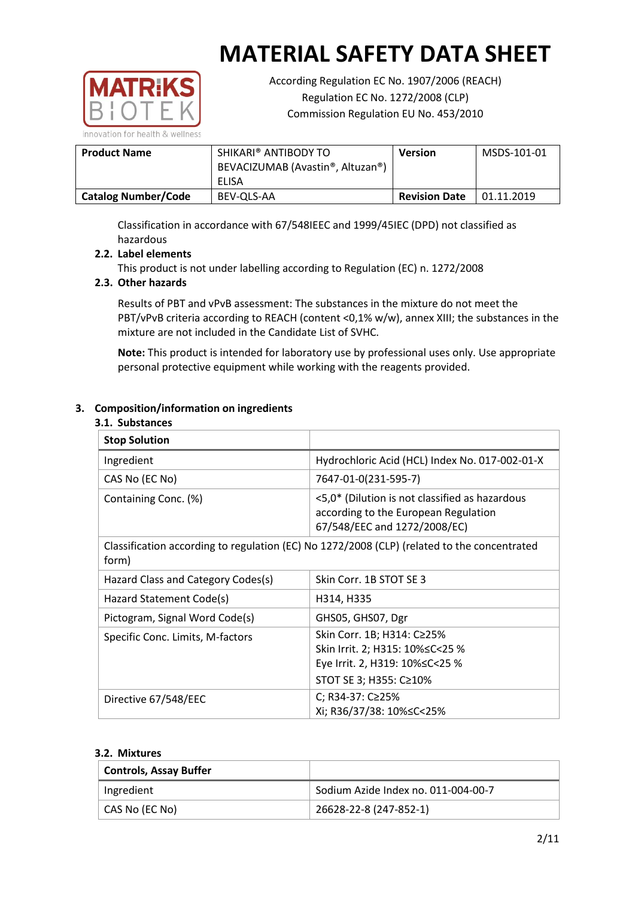

According Regulation EC No. 1907/2006 (REACH) Regulation EC No. 1272/2008 (CLP) Commission Regulation EU No. 453/2010

| <b>Product Name</b>        | SHIKARI® ANTIBODY TO<br>BEVACIZUMAB (Avastin®, Altuzan®)<br>ELISA | <b>Version</b>       | MSDS-101-01 |
|----------------------------|-------------------------------------------------------------------|----------------------|-------------|
| <b>Catalog Number/Code</b> | BEV-OLS-AA                                                        | <b>Revision Date</b> | 01.11.2019  |

Classification in accordance with 67/548IEEC and 1999/45IEC (DPD) not classified as hazardous

## **2.2. Label elements**

This product is not under labelling according to Regulation (EC) n. 1272/2008

## **2.3. Other hazards**

Results of PBT and vPvB assessment: The substances in the mixture do not meet the PBT/vPvB criteria according to REACH (content <0,1% w/w), annex XIII; the substances in the mixture are not included in the Candidate List of SVHC.

**Note:** This product is intended for laboratory use by professional uses only. Use appropriate personal protective equipment while working with the reagents provided.

## **3. Composition/information on ingredients**

#### **3.1. Substances**

| <b>Stop Solution</b>               |                                                                                                                               |
|------------------------------------|-------------------------------------------------------------------------------------------------------------------------------|
| Ingredient                         | Hydrochloric Acid (HCL) Index No. 017-002-01-X                                                                                |
| CAS No (EC No)                     | 7647-01-0(231-595-7)                                                                                                          |
| Containing Conc. (%)               | <5,0* (Dilution is not classified as hazardous<br>according to the European Regulation<br>67/548/EEC and 1272/2008/EC)        |
| form)                              | Classification according to regulation (EC) No 1272/2008 (CLP) (related to the concentrated                                   |
| Hazard Class and Category Codes(s) | Skin Corr. 1B STOT SE 3                                                                                                       |
| Hazard Statement Code(s)           | H314, H335                                                                                                                    |
| Pictogram, Signal Word Code(s)     | GHS05, GHS07, Dgr                                                                                                             |
| Specific Conc. Limits, M-factors   | Skin Corr. 1B; H314: C≥25%<br>Skin Irrit. 2; H315: 10% ≤ C < 25 %<br>Eye Irrit. 2, H319: 10%≤C<25 %<br>STOT SE 3; H355: C≥10% |
| Directive 67/548/EEC               | C; R34-37: C≥25%<br>Xi; R36/37/38: 10%≤C<25%                                                                                  |

### **3.2. Mixtures**

| <b>Controls, Assay Buffer</b> |                                     |
|-------------------------------|-------------------------------------|
| Ingredient                    | Sodium Azide Index no. 011-004-00-7 |
| CAS No (EC No)                | 26628-22-8 (247-852-1)              |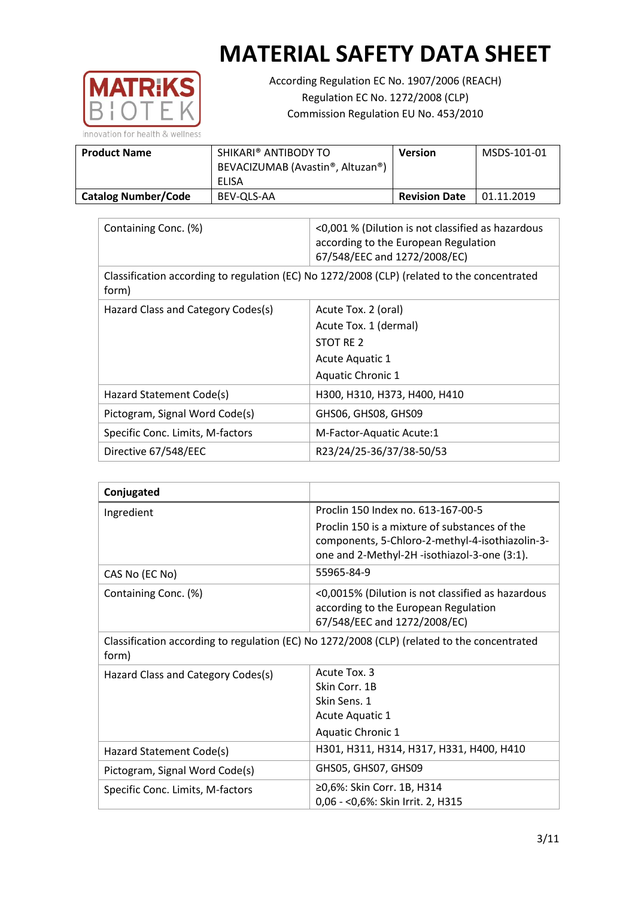

According Regulation EC No. 1907/2006 (REACH) Regulation EC No. 1272/2008 (CLP) Commission Regulation EU No. 453/2010

| <b>Product Name</b>        | SHIKARI® ANTIBODY TO<br>BEVACIZUMAB (Avastin®, Altuzan®)<br><b>FLISA</b> | <b>Version</b>       | MSDS-101-01 |
|----------------------------|--------------------------------------------------------------------------|----------------------|-------------|
|                            |                                                                          |                      |             |
| <b>Catalog Number/Code</b> | BEV-OLS-AA                                                               | <b>Revision Date</b> | 01.11.2019  |

| Containing Conc. (%)               | <0,001 % (Dilution is not classified as hazardous<br>according to the European Regulation<br>67/548/EEC and 1272/2008/EC) |
|------------------------------------|---------------------------------------------------------------------------------------------------------------------------|
| form)                              | Classification according to regulation (EC) No 1272/2008 (CLP) (related to the concentrated                               |
| Hazard Class and Category Codes(s) | Acute Tox. 2 (oral)                                                                                                       |
|                                    | Acute Tox. 1 (dermal)                                                                                                     |
|                                    | STOT RE 2                                                                                                                 |
|                                    | Acute Aquatic 1                                                                                                           |
|                                    | Aquatic Chronic 1                                                                                                         |
| Hazard Statement Code(s)           | H300, H310, H373, H400, H410                                                                                              |
| Pictogram, Signal Word Code(s)     | GHS06, GHS08, GHS09                                                                                                       |
| Specific Conc. Limits, M-factors   | M-Factor-Aquatic Acute:1                                                                                                  |
| Directive 67/548/EEC               | R23/24/25-36/37/38-50/53                                                                                                  |

| Conjugated                                                                                           |                                                                                                                                                  |
|------------------------------------------------------------------------------------------------------|--------------------------------------------------------------------------------------------------------------------------------------------------|
| Ingredient                                                                                           | Proclin 150 Index no. 613-167-00-5                                                                                                               |
|                                                                                                      | Proclin 150 is a mixture of substances of the<br>components, 5-Chloro-2-methyl-4-isothiazolin-3-<br>one and 2-Methyl-2H -isothiazol-3-one (3:1). |
| CAS No (EC No)                                                                                       | 55965-84-9                                                                                                                                       |
| Containing Conc. (%)                                                                                 | <0,0015% (Dilution is not classified as hazardous<br>according to the European Regulation<br>67/548/EEC and 1272/2008/EC)                        |
| Classification according to regulation (EC) No 1272/2008 (CLP) (related to the concentrated<br>form) |                                                                                                                                                  |
| Hazard Class and Category Codes(s)                                                                   | Acute Tox, 3                                                                                                                                     |
|                                                                                                      | Skin Corr. 1B                                                                                                                                    |
|                                                                                                      | Skin Sens. 1                                                                                                                                     |
|                                                                                                      | <b>Acute Aquatic 1</b>                                                                                                                           |
|                                                                                                      | <b>Aquatic Chronic 1</b>                                                                                                                         |
| Hazard Statement Code(s)                                                                             | H301, H311, H314, H317, H331, H400, H410                                                                                                         |
| Pictogram, Signal Word Code(s)                                                                       | GHS05, GHS07, GHS09                                                                                                                              |
| Specific Conc. Limits, M-factors                                                                     | ≥0,6%: Skin Corr. 1B, H314<br>0,06 - < 0,6%: Skin Irrit. 2, H315                                                                                 |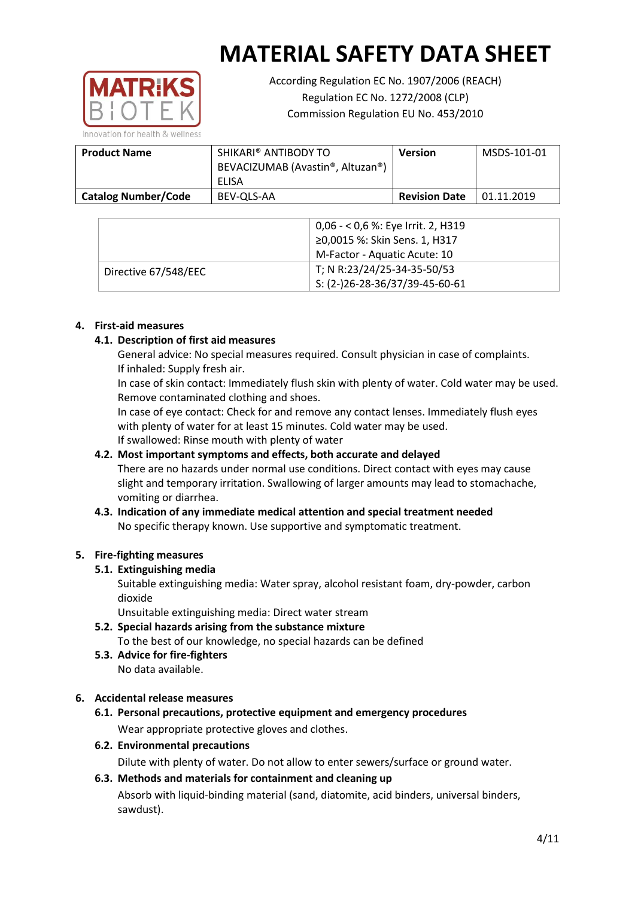

According Regulation EC No. 1907/2006 (REACH) Regulation EC No. 1272/2008 (CLP) Commission Regulation EU No. 453/2010

**Product Name SHIKARI® ANTIBODY TO** BEVACIZUMAB (Avastin®, Altuzan®) ELISA **Version** MSDS-101-01 **Catalog Number/Code** BEV-QLS-AA **Revision Date** 01.11.2019

|                      | 0,06 - < 0,6 %: Eye Irrit. 2, H319<br>≥0,0015 %: Skin Sens. 1, H317<br>M-Factor - Aquatic Acute: 10 |
|----------------------|-----------------------------------------------------------------------------------------------------|
| Directive 67/548/EEC | T; N R:23/24/25-34-35-50/53<br>$S: (2-)26-28-36/37/39-45-60-61$                                     |

## **4. First-aid measures**

## **4.1. Description of first aid measures**

General advice: No special measures required. Consult physician in case of complaints. If inhaled: Supply fresh air.

In case of skin contact: Immediately flush skin with plenty of water. Cold water may be used. Remove contaminated clothing and shoes.

In case of eye contact: Check for and remove any contact lenses. Immediately flush eyes with plenty of water for at least 15 minutes. Cold water may be used. If swallowed: Rinse mouth with plenty of water

## **4.2. Most important symptoms and effects, both accurate and delayed**

There are no hazards under normal use conditions. Direct contact with eyes may cause slight and temporary irritation. Swallowing of larger amounts may lead to stomachache, vomiting or diarrhea.

## **4.3. Indication of any immediate medical attention and special treatment needed** No specific therapy known. Use supportive and symptomatic treatment.

## **5. Fire-fighting measures**

## **5.1. Extinguishing media**

Suitable extinguishing media: Water spray, alcohol resistant foam, dry-powder, carbon dioxide

Unsuitable extinguishing media: Direct water stream

- **5.2. Special hazards arising from the substance mixture** To the best of our knowledge, no special hazards can be defined
- **5.3. Advice for fire-fighters** No data available.

## **6. Accidental release measures**

- **6.1. Personal precautions, protective equipment and emergency procedures** Wear appropriate protective gloves and clothes.
- **6.2. Environmental precautions**

Dilute with plenty of water. Do not allow to enter sewers/surface or ground water.

## **6.3. Methods and materials for containment and cleaning up**

Absorb with liquid-binding material (sand, diatomite, acid binders, universal binders, sawdust).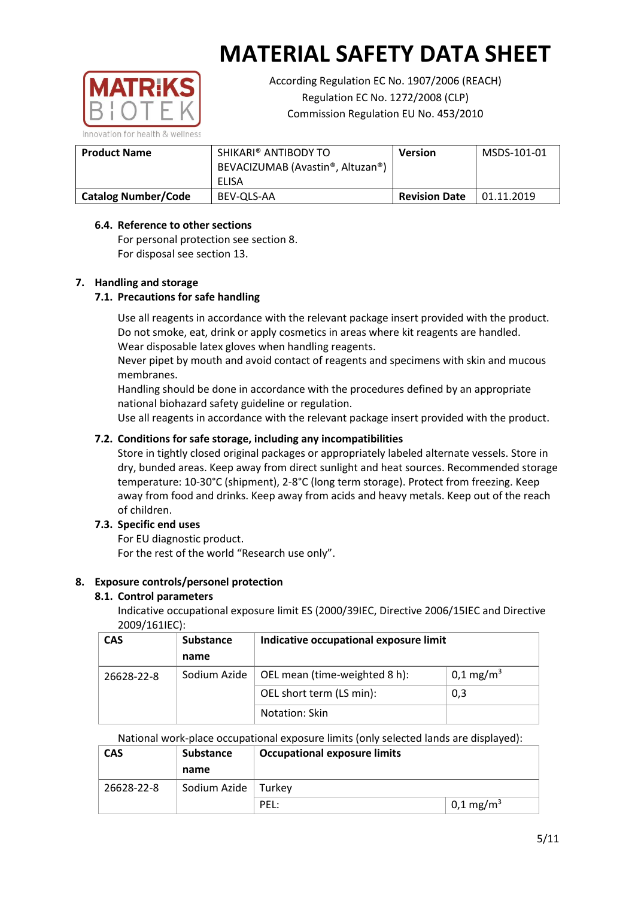

According Regulation EC No. 1907/2006 (REACH) Regulation EC No. 1272/2008 (CLP) Commission Regulation EU No. 453/2010

| <b>Product Name</b>        | SHIKARI® ANTIBODY TO<br>BEVACIZUMAB (Avastin®, Altuzan®)<br>ELISA | Version              | MSDS-101-01 |
|----------------------------|-------------------------------------------------------------------|----------------------|-------------|
| <b>Catalog Number/Code</b> | BEV-QLS-AA                                                        | <b>Revision Date</b> | 01.11.2019  |

### **6.4. Reference to other sections**

For personal protection see section 8. For disposal see section 13.

## **7. Handling and storage**

### **7.1. Precautions for safe handling**

Use all reagents in accordance with the relevant package insert provided with the product. Do not smoke, eat, drink or apply cosmetics in areas where kit reagents are handled. Wear disposable latex gloves when handling reagents.

Never pipet by mouth and avoid contact of reagents and specimens with skin and mucous membranes.

Handling should be done in accordance with the procedures defined by an appropriate national biohazard safety guideline or regulation.

Use all reagents in accordance with the relevant package insert provided with the product.

### **7.2. Conditions for safe storage, including any incompatibilities**

Store in tightly closed original packages or appropriately labeled alternate vessels. Store in dry, bunded areas. Keep away from direct sunlight and heat sources. Recommended storage temperature: 10-30°C (shipment), 2-8°C (long term storage). Protect from freezing. Keep away from food and drinks. Keep away from acids and heavy metals. Keep out of the reach of children.

## **7.3. Specific end uses**

For EU diagnostic product. For the rest of the world "Research use only".

#### **8. Exposure controls/personel protection**

#### **8.1. Control parameters**

Indicative occupational exposure limit ES (2000/39IEC, Directive 2006/15IEC and Directive 2009/161IEC):

| <b>CAS</b> | <b>Substance</b> | Indicative occupational exposure limit |                       |
|------------|------------------|----------------------------------------|-----------------------|
|            | name             |                                        |                       |
| 26628-22-8 | Sodium Azide     | OEL mean (time-weighted 8 h):          | 0,1 mg/m <sup>3</sup> |
|            |                  | OEL short term (LS min):               | 0,3                   |
|            |                  | Notation: Skin                         |                       |

National work-place occupational exposure limits (only selected lands are displayed):

| <b>CAS</b> | <b>Substance</b><br>name | <b>Occupational exposure limits</b> |                       |
|------------|--------------------------|-------------------------------------|-----------------------|
| 26628-22-8 | Sodium Azide             | Turkev                              |                       |
|            |                          | PEL:                                | 0,1 mg/m <sup>3</sup> |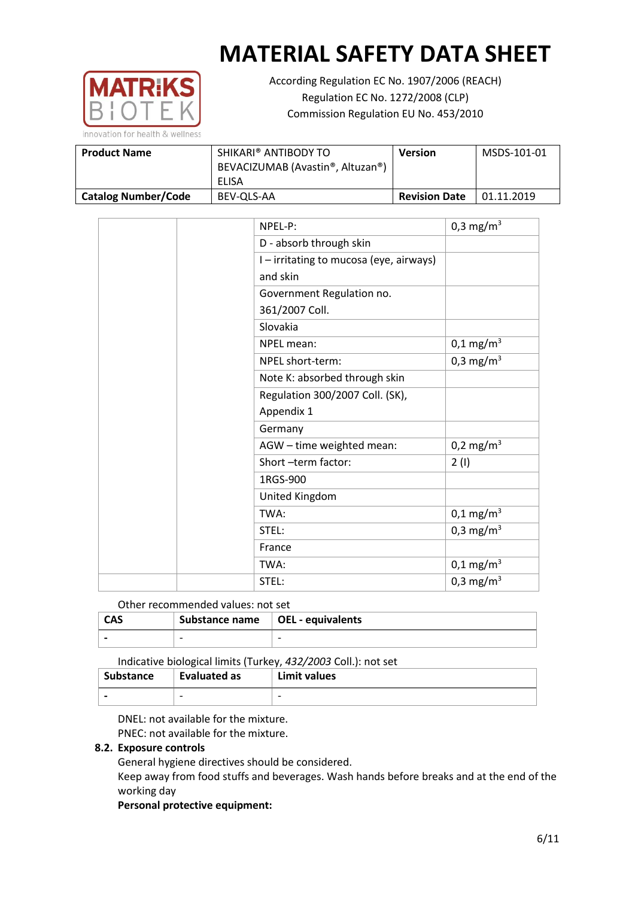

According Regulation EC No. 1907/2006 (REACH) Regulation EC No. 1272/2008 (CLP) Commission Regulation EU No. 453/2010

| <b>Product Name</b>        | SHIKARI® ANTIBODY TO<br>BEVACIZUMAB (Avastin®, Altuzan®) | <b>Version</b>       | MSDS-101-01 |
|----------------------------|----------------------------------------------------------|----------------------|-------------|
|                            | ELISA                                                    |                      |             |
| <b>Catalog Number/Code</b> | BEV-OLS-AA                                               | <b>Revision Date</b> | 01.11.2019  |

| NPEL-P:                                 | 0,3 mg/m <sup>3</sup>   |
|-----------------------------------------|-------------------------|
| D - absorb through skin                 |                         |
| I - irritating to mucosa (eye, airways) |                         |
| and skin                                |                         |
| Government Regulation no.               |                         |
| 361/2007 Coll.                          |                         |
| Slovakia                                |                         |
| NPEL mean:                              | $0,1 \text{ mg/m}^3$    |
| NPEL short-term:                        | 0,3 mg/m <sup>3</sup>   |
| Note K: absorbed through skin           |                         |
| Regulation 300/2007 Coll. (SK),         |                         |
| Appendix 1                              |                         |
| Germany                                 |                         |
| AGW - time weighted mean:               | $0,2 \text{ mg/m}^3$    |
| Short -term factor:                     | 2(1)                    |
| 1RGS-900                                |                         |
| United Kingdom                          |                         |
| TWA:                                    | $0,1 \,\mathrm{mg/m^3}$ |
| STEL:                                   | $0,3 \text{ mg/m}^3$    |
| France                                  |                         |
| TWA:                                    | $0,1 \text{ mg/m}^3$    |
| STEL:                                   | 0,3 mg/m <sup>3</sup>   |

Other recommended values: not set

| <b>CAS</b> |                          | Substance name   OEL - equivalents |  |
|------------|--------------------------|------------------------------------|--|
|            | $\overline{\phantom{0}}$ | $\overline{\phantom{0}}$           |  |

Indicative biological limits (Turkey, *432/2003* Coll.): not set

| Substance                | Evaluated as             | Limit values |
|--------------------------|--------------------------|--------------|
| $\overline{\phantom{0}}$ | $\overline{\phantom{0}}$ | -            |

DNEL: not available for the mixture.

PNEC: not available for the mixture.

## **8.2. Exposure controls**

General hygiene directives should be considered.

Keep away from food stuffs and beverages. Wash hands before breaks and at the end of the working day

#### **Personal protective equipment:**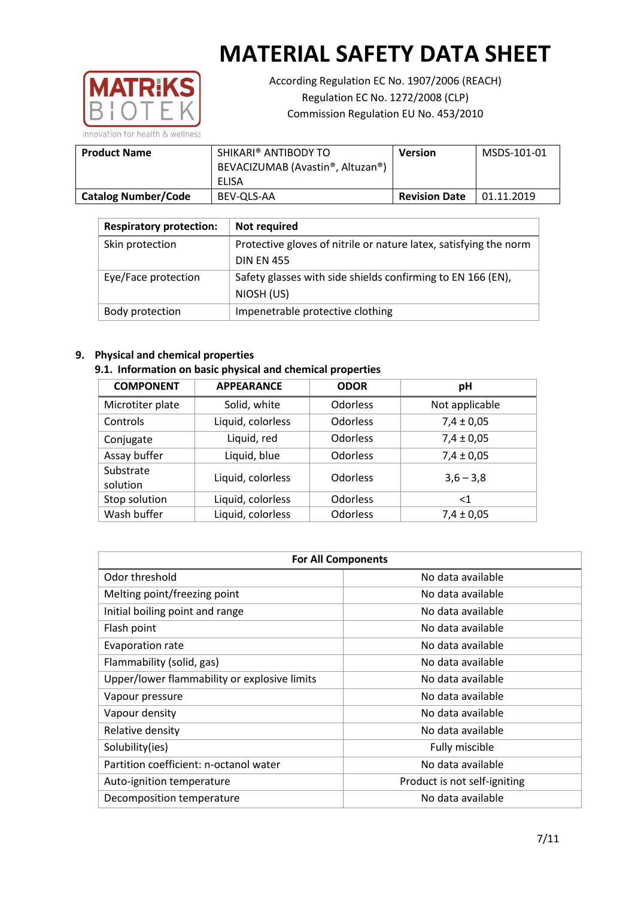

According Regulation EC No. 1907/2006 (REACH) Regulation EC No. 1272/2008 (CLP) Commission Regulation EU No. 453/2010

| <b>Product Name</b>        | SHIKARI® ANTIBODY TO<br>BEVACIZUMAB (Avastin®, Altuzan®)<br>ELISA | <b>Version</b>       | MSDS-101-01 |
|----------------------------|-------------------------------------------------------------------|----------------------|-------------|
| <b>Catalog Number/Code</b> | BEV-OLS-AA                                                        | <b>Revision Date</b> | 01.11.2019  |

| <b>Respiratory protection:</b> | Not required                                                      |
|--------------------------------|-------------------------------------------------------------------|
| Skin protection                | Protective gloves of nitrile or nature latex, satisfying the norm |
|                                | <b>DIN EN 455</b>                                                 |
| Eye/Face protection            | Safety glasses with side shields confirming to EN 166 (EN),       |
|                                | NIOSH (US)                                                        |
| Body protection                | Impenetrable protective clothing                                  |

### **9. Physical and chemical properties**

## **9.1. Information on basic physical and chemical properties**

| <b>COMPONENT</b>      | <b>APPEARANCE</b> | <b>ODOR</b>     | pH             |
|-----------------------|-------------------|-----------------|----------------|
| Microtiter plate      | Solid, white      | <b>Odorless</b> | Not applicable |
| Controls              | Liquid, colorless | Odorless        | $7,4 \pm 0,05$ |
| Conjugate             | Liquid, red       | <b>Odorless</b> | $7,4 \pm 0,05$ |
| Assay buffer          | Liquid, blue      | Odorless        | $7,4 \pm 0,05$ |
| Substrate<br>solution | Liquid, colorless | <b>Odorless</b> | $3,6 - 3,8$    |
| Stop solution         | Liquid, colorless | <b>Odorless</b> | ${<}1$         |
| Wash buffer           | Liquid, colorless | <b>Odorless</b> | $7,4 \pm 0,05$ |

| <b>For All Components</b>                    |                              |  |  |
|----------------------------------------------|------------------------------|--|--|
| Odor threshold                               | No data available            |  |  |
| Melting point/freezing point                 | No data available            |  |  |
| Initial boiling point and range              | No data available            |  |  |
| Flash point                                  | No data available            |  |  |
| Evaporation rate                             | No data available            |  |  |
| Flammability (solid, gas)                    | No data available            |  |  |
| Upper/lower flammability or explosive limits | No data available            |  |  |
| Vapour pressure                              | No data available            |  |  |
| Vapour density                               | No data available            |  |  |
| Relative density                             | No data available            |  |  |
| Solubility(ies)                              | Fully miscible               |  |  |
| Partition coefficient: n-octanol water       | No data available            |  |  |
| Auto-ignition temperature                    | Product is not self-igniting |  |  |
| Decomposition temperature                    | No data available            |  |  |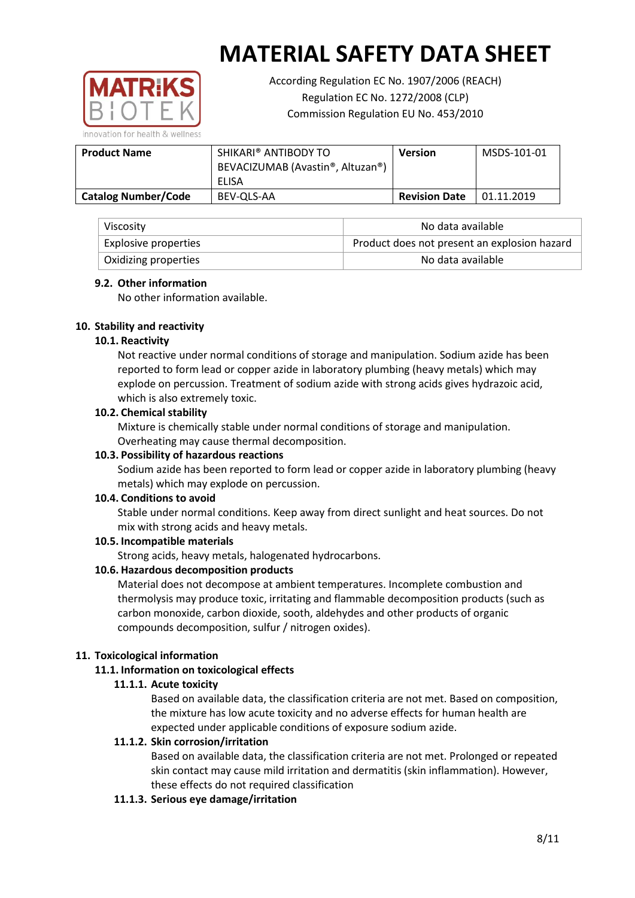

According Regulation EC No. 1907/2006 (REACH) Regulation EC No. 1272/2008 (CLP) Commission Regulation EU No. 453/2010

**Product Name SHIKARI® ANTIBODY TO** BEVACIZUMAB (Avastin®, Altuzan®) ELISA **Version** MSDS-101-01 **Catalog Number/Code** BEV-QLS-AA **Revision Date** 01.11.2019

| Viscosity                   | No data available                            |
|-----------------------------|----------------------------------------------|
| <b>Explosive properties</b> | Product does not present an explosion hazard |
| Oxidizing properties        | No data available                            |

### **9.2. Other information**

No other information available.

## **10. Stability and reactivity**

### **10.1. Reactivity**

Not reactive under normal conditions of storage and manipulation. Sodium azide has been reported to form lead or copper azide in laboratory plumbing (heavy metals) which may explode on percussion. Treatment of sodium azide with strong acids gives hydrazoic acid, which is also extremely toxic.

### **10.2. Chemical stability**

Mixture is chemically stable under normal conditions of storage and manipulation. Overheating may cause thermal decomposition.

### **10.3. Possibility of hazardous reactions**

Sodium azide has been reported to form lead or copper azide in laboratory plumbing (heavy metals) which may explode on percussion.

#### **10.4. Conditions to avoid**

Stable under normal conditions. Keep away from direct sunlight and heat sources. Do not mix with strong acids and heavy metals.

## **10.5. Incompatible materials**

Strong acids, heavy metals, halogenated hydrocarbons.

## **10.6. Hazardous decomposition products**

Material does not decompose at ambient temperatures. Incomplete combustion and thermolysis may produce toxic, irritating and flammable decomposition products (such as carbon monoxide, carbon dioxide, sooth, aldehydes and other products of organic compounds decomposition, sulfur / nitrogen oxides).

#### **11. Toxicological information**

## **11.1. Information on toxicological effects**

## **11.1.1. Acute toxicity**

Based on available data, the classification criteria are not met. Based on composition, the mixture has low acute toxicity and no adverse effects for human health are expected under applicable conditions of exposure sodium azide.

## **11.1.2. Skin corrosion/irritation**

Based on available data, the classification criteria are not met. Prolonged or repeated skin contact may cause mild irritation and dermatitis (skin inflammation). However, these effects do not required classification

## **11.1.3. Serious eye damage/irritation**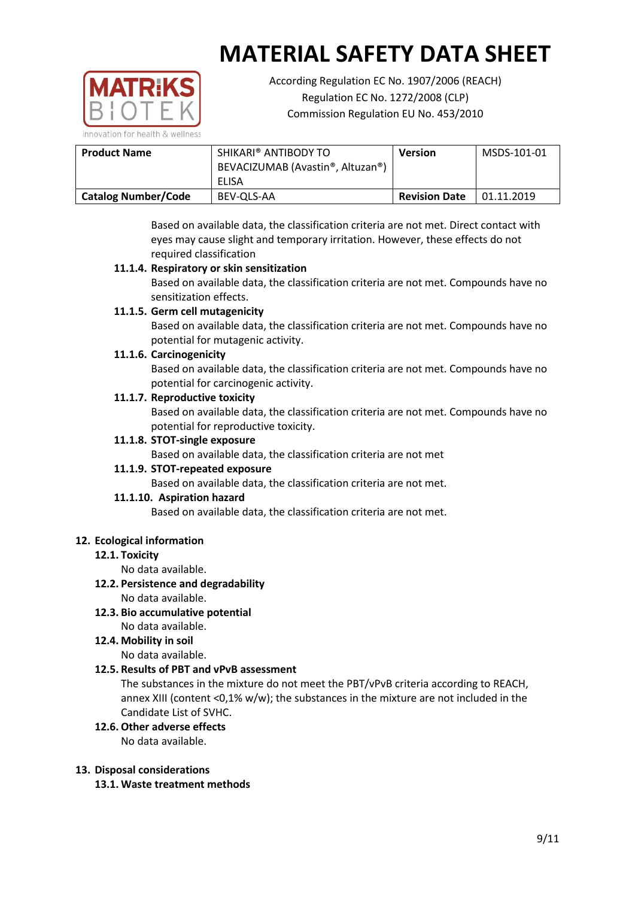

According Regulation EC No. 1907/2006 (REACH) Regulation EC No. 1272/2008 (CLP) Commission Regulation EU No. 453/2010

| <b>Product Name</b>        | SHIKARI® ANTIBODY TO<br>BEVACIZUMAB (Avastin®, Altuzan®) | Version              | MSDS-101-01 |
|----------------------------|----------------------------------------------------------|----------------------|-------------|
|                            | ELISA                                                    |                      |             |
| <b>Catalog Number/Code</b> | BEV-OLS-AA                                               | <b>Revision Date</b> | 01.11.2019  |

Based on available data, the classification criteria are not met. Direct contact with eyes may cause slight and temporary irritation. However, these effects do not required classification

## **11.1.4. Respiratory or skin sensitization**

Based on available data, the classification criteria are not met. Compounds have no sensitization effects.

## **11.1.5. Germ cell mutagenicity**

Based on available data, the classification criteria are not met. Compounds have no potential for mutagenic activity.

## **11.1.6. Carcinogenicity**

Based on available data, the classification criteria are not met. Compounds have no potential for carcinogenic activity.

## **11.1.7. Reproductive toxicity**

Based on available data, the classification criteria are not met. Compounds have no potential for reproductive toxicity.

## **11.1.8. STOT-single exposure**

Based on available data, the classification criteria are not met

## **11.1.9. STOT-repeated exposure**

Based on available data, the classification criteria are not met.

## **11.1.10. Aspiration hazard**

Based on available data, the classification criteria are not met.

## **12. Ecological information**

## **12.1. Toxicity**

No data available.

## **12.2. Persistence and degradability**

No data available.

**12.3. Bio accumulative potential** No data available.

## **12.4. Mobility in soil**

No data available.

## **12.5. Results of PBT and vPvB assessment**

The substances in the mixture do not meet the PBT/vPvB criteria according to REACH, annex XIII (content <0,1% w/w); the substances in the mixture are not included in the Candidate List of SVHC.

## **12.6. Other adverse effects**

No data available.

## **13. Disposal considerations**

**13.1. Waste treatment methods**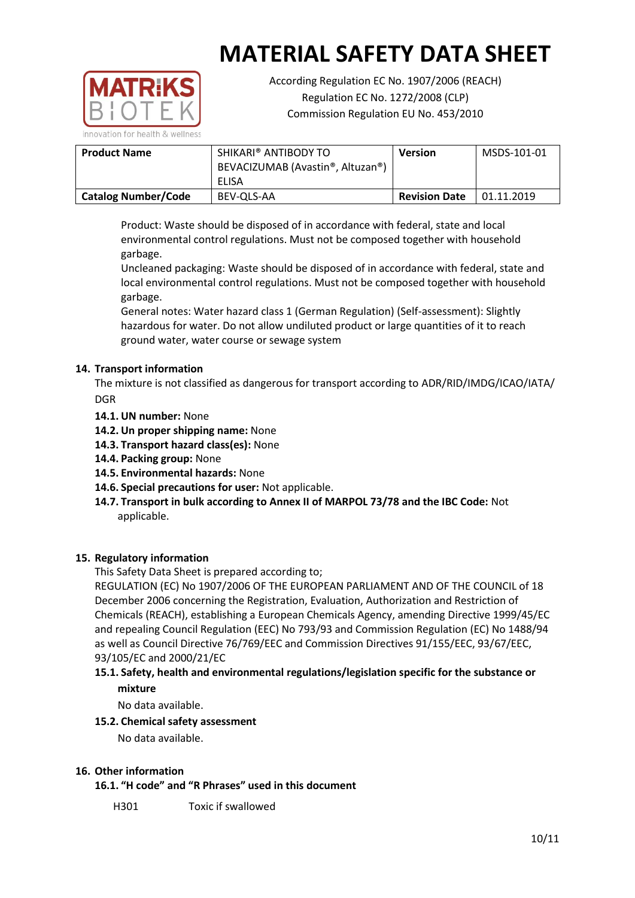

According Regulation EC No. 1907/2006 (REACH) Regulation EC No. 1272/2008 (CLP) Commission Regulation EU No. 453/2010

| <b>Product Name</b>        | SHIKARI® ANTIBODY TO             | <b>Version</b>       | MSDS-101-01 |
|----------------------------|----------------------------------|----------------------|-------------|
|                            | BEVACIZUMAB (Avastin®, Altuzan®) |                      |             |
|                            | ELISA                            |                      |             |
| <b>Catalog Number/Code</b> | BEV-OLS-AA                       | <b>Revision Date</b> | 01.11.2019  |

Product: Waste should be disposed of in accordance with federal, state and local environmental control regulations. Must not be composed together with household garbage.

Uncleaned packaging: Waste should be disposed of in accordance with federal, state and local environmental control regulations. Must not be composed together with household garbage.

General notes: Water hazard class 1 (German Regulation) (Self-assessment): Slightly hazardous for water. Do not allow undiluted product or large quantities of it to reach ground water, water course or sewage system

## **14. Transport information**

The mixture is not classified as dangerous for transport according to ADR/RID/IMDG/ICAO/IATA/ DGR

- **14.1. UN number:** None
- **14.2. Un proper shipping name:** None
- **14.3. Transport hazard class(es):** None
- **14.4. Packing group:** None
- **14.5. Environmental hazards:** None
- **14.6. Special precautions for user:** Not applicable.
- **14.7. Transport in bulk according to Annex II of MARPOL 73/78 and the IBC Code:** Not applicable.

#### **15. Regulatory information**

This Safety Data Sheet is prepared according to;

REGULATION (EC) No 1907/2006 OF THE EUROPEAN PARLIAMENT AND OF THE COUNCIL of 18 December 2006 concerning the Registration, Evaluation, Authorization and Restriction of Chemicals (REACH), establishing a European Chemicals Agency, amending Directive 1999/45/EC and repealing Council Regulation (EEC) No 793/93 and Commission Regulation (EC) No 1488/94 as well as Council Directive 76/769/EEC and Commission Directives 91/155/EEC, 93/67/EEC, 93/105/EC and 2000/21/EC

## **15.1. Safety, health and environmental regulations/legislation specific for the substance or mixture**

No data available.

#### **15.2. Chemical safety assessment**

No data available.

### **16. Other information**

**16.1. "H code" and "R Phrases" used in this document**

H301 Toxic if swallowed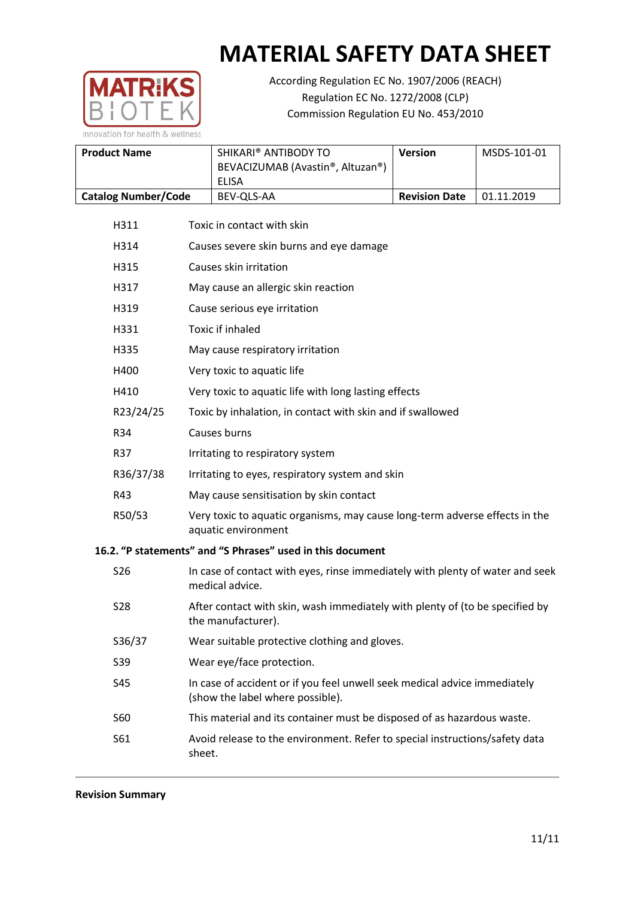

According Regulation EC No. 1907/2006 (REACH) Regulation EC No. 1272/2008 (CLP) Commission Regulation EU No. 453/2010

| <b>Product Name</b>        | SHIKARI® ANTIBODY TO<br>BEVACIZUMAB (Avastin®, Altuzan®) | <b>Version</b>       | MSDS-101-01 |
|----------------------------|----------------------------------------------------------|----------------------|-------------|
|                            | ELISA                                                    |                      |             |
| <b>Catalog Number/Code</b> | BEV-OLS-AA                                               | <b>Revision Date</b> | 01.11.2019  |

- H311 Toxic in contact with skin H314 Causes severe skin burns and eye damage H315 Causes skin irritation H317 May cause an allergic skin reaction H319 Cause serious eye irritation H331 Toxic if inhaled H335 May cause respiratory irritation H400 Very toxic to aquatic life H410 Very toxic to aquatic life with long lasting effects R23/24/25 Toxic by inhalation, in contact with skin and if swallowed R34 Causes burns R37 Irritating to respiratory system R36/37/38 Irritating to eyes, respiratory system and skin R43 May cause sensitisation by skin contact R50/53 Very toxic to aquatic organisms, may cause long-term adverse effects in the aquatic environment **16.2. "P statements" and "S Phrases" used in this document** S26 In case of contact with eyes, rinse immediately with plenty of water and seek medical advice. S28 After contact with skin, wash immediately with plenty of (to be specified by the manufacturer). S36/37 Wear suitable protective clothing and gloves.
	- S39 Wear eye/face protection.
	- S45 In case of accident or if you feel unwell seek medical advice immediately (show the label where possible).
	- S60 This material and its container must be disposed of as hazardous waste.
	- S61 Avoid release to the environment. Refer to special instructions/safety data sheet.